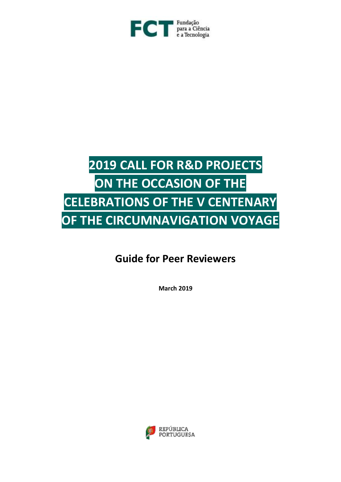

# **2019 CALL FOR R&D PROJECTS ON THE OCCASION OF THE CELEBRATIONS OF THE V CENTENARY OF THE CIRCUMNAVIGATION VOYAGE**

# **Guide for Peer Reviewers**

**March 2019**

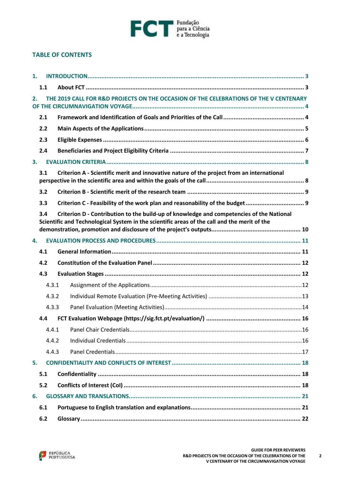

#### **TABLE OF CONTENTS**

| 1. |       |                                                                                                                                                                                          |  |
|----|-------|------------------------------------------------------------------------------------------------------------------------------------------------------------------------------------------|--|
|    | 1.1   |                                                                                                                                                                                          |  |
| 2. |       | THE 2019 CALL FOR R&D PROJECTS ON THE OCCASION OF THE CELEBRATIONS OF THE V CENTENARY                                                                                                    |  |
|    | 2.1   |                                                                                                                                                                                          |  |
|    | 2.2   |                                                                                                                                                                                          |  |
|    | 2.3   |                                                                                                                                                                                          |  |
|    | 2.4   |                                                                                                                                                                                          |  |
| 3. |       |                                                                                                                                                                                          |  |
|    | 3.1   | Criterion A - Scientific merit and innovative nature of the project from an international                                                                                                |  |
|    | 3.2   |                                                                                                                                                                                          |  |
|    | 3.3   |                                                                                                                                                                                          |  |
|    | 3.4   | Criterion D - Contribution to the build-up of knowledge and competencies of the National<br>Scientific and Technological System in the scientific areas of the call and the merit of the |  |
| 4. |       |                                                                                                                                                                                          |  |
|    | 4.1   |                                                                                                                                                                                          |  |
|    | 4.2   |                                                                                                                                                                                          |  |
|    | 4.3   |                                                                                                                                                                                          |  |
|    | 4.3.1 |                                                                                                                                                                                          |  |
|    | 4.3.2 |                                                                                                                                                                                          |  |
|    | 4.3.3 |                                                                                                                                                                                          |  |
|    | 4.4   |                                                                                                                                                                                          |  |
|    |       |                                                                                                                                                                                          |  |
|    | 4.4.2 |                                                                                                                                                                                          |  |
|    | 4.4.3 |                                                                                                                                                                                          |  |
| 5. |       |                                                                                                                                                                                          |  |
|    | 5.1   |                                                                                                                                                                                          |  |
|    | 5.2   |                                                                                                                                                                                          |  |
| 6. |       |                                                                                                                                                                                          |  |
|    | 6.1   |                                                                                                                                                                                          |  |
|    | 6.2   |                                                                                                                                                                                          |  |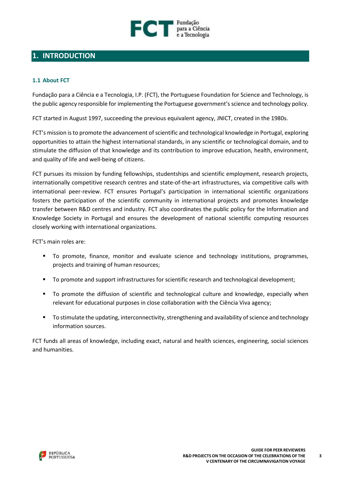

# <span id="page-2-0"></span>**1. INTRODUCTION**

#### <span id="page-2-1"></span>**1.1 About FCT**

Fundação para a Ciência e a Tecnologia, I.P. (FCT), the Portuguese Foundation for Science and Technology, is the public agency responsible for implementing the Portuguese government's science and technology policy.

FCT started in August 1997, succeeding the previous equivalent agency, JNICT, created in the 1980s.

FCT's mission is to promote the advancement of scientific and technological knowledge in Portugal, exploring opportunities to attain the highest international standards, in any scientific or technological domain, and to stimulate the diffusion of that knowledge and its contribution to improve education, health, environment, and quality of life and well-being of citizens.

FCT pursues its mission by funding fellowships, studentships and scientific employment, research projects, internationally competitive research centres and state-of-the-art infrastructures, via competitive calls with international peer-review. FCT ensures Portugal's participation in international scientific organizations fosters the participation of the scientific community in international projects and promotes knowledge transfer between R&D centres and industry. FCT also coordinates the public policy for the Information and Knowledge Society in Portugal and ensures the development of national scientific computing resources closely working with international organizations.

FCT's main roles are:

- To promote, finance, monitor and evaluate science and technology institutions, programmes, projects and training of human resources;
- To promote and support infrastructures for scientific research and technological development;
- To promote the diffusion of scientific and technological culture and knowledge, especially when relevant for educational purposes in close collaboration with the Ciência Viva agency;
- To stimulate the updating, interconnectivity, strengthening and availability of science and technology information sources.

FCT funds all areas of knowledge, including exact, natural and health sciences, engineering, social sciences and humanities.

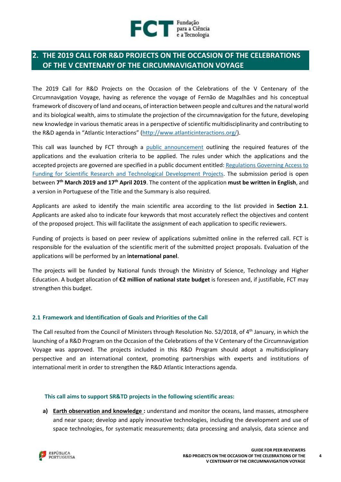

# <span id="page-3-0"></span>**2. THE 2019 CALL FOR R&D PROJECTS ON THE OCCASION OF THE CELEBRATIONS OF THE V CENTENARY OF THE CIRCUMNAVIGATION VOYAGE**

The 2019 Call for R&D Projects on the Occasion of the Celebrations of the V Centenary of the Circumnavigation Voyage, having as reference the voyage of Fernão de Magalhães and his conceptual framework of discovery of land and oceans, of interaction between people and cultures and the natural world and its biological wealth, aims to stimulate the projection of the circumnavigation for the future, developing new knowledge in various thematic areas in a perspective of scientific multidisciplinarity and contributing to the R&D agenda in "Atlantic Interactions" [\(http://www.atlanticinteractions.org/\)](http://www.atlanticinteractions.org/).

This call was launched by FCT through a public [announcement](https://www.fct.pt/apoios/projectos/concursos/circumnavegacao/docs/Aviso_Circum-navegacao.pdf) outlining the required features of the applications and the evaluation criteria to be applied. The rules under which the applications and the accepted projects are governed are specified in a public document entitled: [Regulations](http://www.fct.pt/apoios/projectos/regulamentofundosnacionais.phtml.en) Governing Access to Funding for Scientific Research and [Technological](http://www.fct.pt/apoios/projectos/regulamentofundosnacionais.phtml.en) Development Projects. The submission period is open between **7 th March 2019 and 17th April 2019**. The content of the application **must be written in English**, and a version in Portuguese of the Title and the Summary is also required.

Applicants are asked to identify the main scientific area according to the list provided in **Section [2.1](#page-3-1)**. Applicants are asked also to indicate four keywords that most accurately reflect the objectives and content of the proposed project. This will facilitate the assignment of each application to specific reviewers.

Funding of projects is based on peer review of applications submitted online in the referred call. FCT is responsible for the evaluation of the scientific merit of the submitted project proposals. Evaluation of the applications will be performed by an **international panel**.

The projects will be funded by National funds through the Ministry of Science, Technology and Higher Education. A budget allocation of **€2 million of national state budget** is foreseen and, if justifiable, FCT may strengthen this budget.

#### <span id="page-3-1"></span>**2.1 Framework and Identification of Goals and Priorities of the Call**

The Call resulted from the Council of Ministers through Resolution No. 52/2018, of 4<sup>th</sup> January, in which the launching of a R&D Program on the Occasion of the Celebrations of the V Centenary of the Circumnavigation Voyage was approved. The projects included in this R&D Program should adopt a multidisciplinary perspective and an international context, promoting partnerships with experts and institutions of international merit in order to strengthen the R&D Atlantic Interactions agenda.

#### **This call aims to support SR&TD projects in the following scientific areas:**

**a) Earth observation and knowledge :** understand and monitor the oceans, land masses, atmosphere and near space; develop and apply innovative technologies, including the development and use of space technologies, for systematic measurements; data processing and analysis, data science and

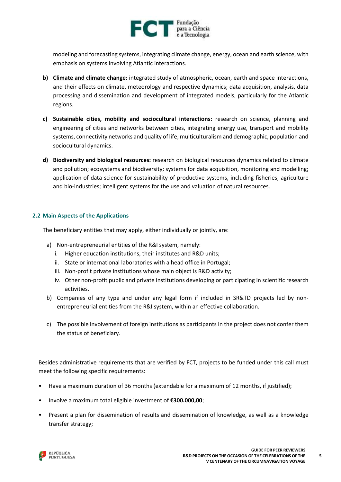

modeling and forecasting systems, integrating climate change, energy, ocean and earth science, with emphasis on systems involving Atlantic interactions.

- **b) Climate and climate change:** integrated study of atmospheric, ocean, earth and space interactions, and their effects on climate, meteorology and respective dynamics; data acquisition, analysis, data processing and dissemination and development of integrated models, particularly for the Atlantic regions.
- **c) Sustainable cities, mobility and sociocultural interactions:** research on science, planning and engineering of cities and networks between cities, integrating energy use, transport and mobility systems, connectivity networks and quality of life; multiculturalism and demographic, population and sociocultural dynamics.
- **d) Biodiversity and biological resources:** research on biological resources dynamics related to climate and pollution; ecosystems and biodiversity; systems for data acquisition, monitoring and modelling; application of data science for sustainability of productive systems, including fisheries, agriculture and bio-industries; intelligent systems for the use and valuation of natural resources.

#### <span id="page-4-0"></span>**2.2 Main Aspects of the Applications**

The beneficiary entities that may apply, either individually or jointly, are:

- a) Non-entrepreneurial entities of the R&I system, namely:
	- i. Higher education institutions, their institutes and R&D units;
	- ii. State or international laboratories with a head office in Portugal;
	- iii. Non-profit private institutions whose main object is R&D activity;
	- iv. Other non-profit public and private institutions developing or participating in scientific research activities.
- b) Companies of any type and under any legal form if included in SR&TD projects led by nonentrepreneurial entities from the R&I system, within an effective collaboration.
- c) The possible involvement of foreign institutions as participants in the project does not confer them the status of beneficiary.

Besides administrative requirements that are verified by FCT, projects to be funded under this call must meet the following specific requirements:

- Have a maximum duration of 36 months (extendable for a maximum of 12 months, if justified);
- Involve a maximum total eligible investment of **€300.000,00**;
- Present a plan for dissemination of results and dissemination of knowledge, as well as a knowledge transfer strategy;

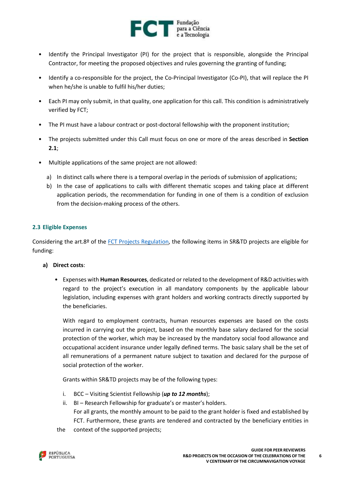

- Identify the Principal Investigator (PI) for the project that is responsible, alongside the Principal Contractor, for meeting the proposed objectives and rules governing the granting of funding;
- Identify a co-responsible for the project, the Co-Principal Investigator (Co-PI), that will replace the PI when he/she is unable to fulfil his/her duties;
- Each PI may only submit, in that quality, one application for this call. This condition is administratively verified by FCT;
- The PI must have a labour contract or post-doctoral fellowship with the proponent institution;
- The projects submitted under this Call must focus on one or more of the areas described in **Section [2.1](#page-3-1)**;
- Multiple applications of the same project are not allowed:
	- a) In distinct calls where there is a temporal overlap in the periods of submission of applications;
	- b) In the case of applications to calls with different thematic scopes and taking place at different application periods, the recommendation for funding in one of them is a condition of exclusion from the decision-making process of the others.

#### <span id="page-5-0"></span>**2.3 Eligible Expenses**

Considering the art.8º of the FCT Projects [Regulation,](http://www.fct.pt/apoios/projectos/regulamentofundosnacionais.phtml.en) the following items in SR&TD projects are eligible for funding:

#### **a) Direct costs**:

• Expenses with **Human Resources**, dedicated or related to the development of R&D activities with regard to the project's execution in all mandatory components by the applicable labour legislation, including expenses with grant holders and working contracts directly supported by the beneficiaries.

With regard to employment contracts, human resources expenses are based on the costs incurred in carrying out the project, based on the monthly base salary declared for the social protection of the worker, which may be increased by the mandatory social food allowance and occupational accident insurance under legally defined terms. The basic salary shall be the set of all remunerations of a permanent nature subject to taxation and declared for the purpose of social protection of the worker.

Grants within SR&TD projects may be of the following types:

- i. BCC Visiting Scientist Fellowship (*up to 12 months*);
- ii. BI Research Fellowship for graduate's or master's holders. For all grants, the monthly amount to be paid to the grant holder is fixed and established by FCT. Furthermore, these grants are tendered and contracted by the beneficiary entities in
- the context of the supported projects;

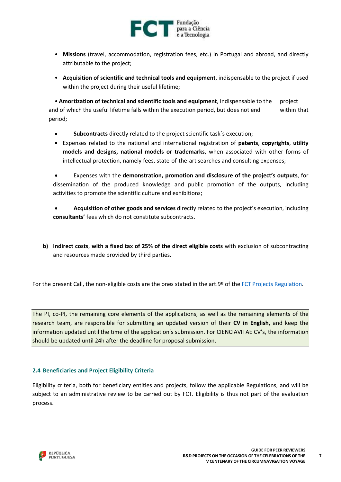

- **Missions** (travel, accommodation, registration fees, etc.) in Portugal and abroad, and directly attributable to the project;
- **Acquisition of scientific and technical tools and equipment**, indispensable to the project if used within the project during their useful lifetime;

• **Amortization of technical and scientific tools and equipment**, indispensable to the project and of which the useful lifetime falls within the execution period, but does not end within that period;

- **Subcontracts** directly related to the project scientific task´s execution;
- Expenses related to the national and international registration of **patents**, **copyrights**, **utility models and designs, national models or trademarks**, when associated with other forms of intellectual protection, namely fees, state-of-the-art searches and consulting expenses;

 Expenses with the **demonstration, promotion and disclosure of the project's outputs**, for dissemination of the produced knowledge and public promotion of the outputs, including activities to promote the scientific culture and exhibitions;

 **Acquisition of other goods and services** directly related to the project's execution, including **consultants'** fees which do not constitute subcontracts.

**b) Indirect costs**, **with a fixed tax of 25% of the direct eligible costs** with exclusion of subcontracting and resources made provided by third parties.

For the present Call, the non-eligible costs are the ones stated in the art.9º of the FCT Projects [Regulation.](http://www.fct.pt/apoios/projectos/regulamentofundosnacionais.phtml.en)

The PI, co-PI, the remaining core elements of the applications, as well as the remaining elements of the research team, are responsible for submitting an updated version of their **CV in English,** and keep the information updated until the time of the application's submission. For CIENCIAVITAE CV's, the information should be updated until 24h after the deadline for proposal submission.

#### <span id="page-6-0"></span>**2.4 Beneficiaries and Project Eligibility Criteria**

Eligibility criteria, both for beneficiary entities and projects, follow the applicable Regulations, and will be subject to an administrative review to be carried out by FCT. Eligibility is thus not part of the evaluation process.

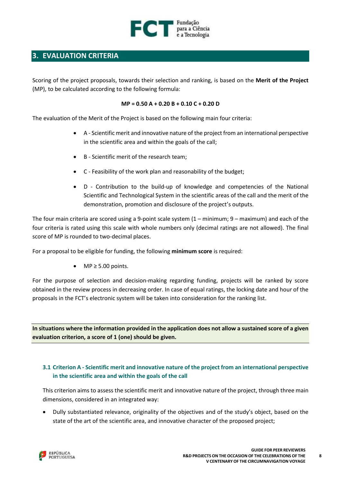

# <span id="page-7-0"></span>**3. EVALUATION CRITERIA**

Scoring of the project proposals, towards their selection and ranking, is based on the **Merit of the Project** (MP), to be calculated according to the following formula:

#### **MP = 0.50 A + 0.20 B + 0.10 C + 0.20 D**

The evaluation of the Merit of the Project is based on the following main four criteria:

- A Scientific merit and innovative nature of the project from an international perspective in the scientific area and within the goals of the call;
- B Scientific merit of the research team;
- C Feasibility of the work plan and reasonability of the budget;
- D Contribution to the build-up of knowledge and competencies of the National Scientific and Technological System in the scientific areas of the call and the merit of the demonstration, promotion and disclosure of the project's outputs.

The four main criteria are scored using a 9-point scale system  $(1 - \text{minimum})$ , 9 – maximum) and each of the four criteria is rated using this scale with whole numbers only (decimal ratings are not allowed). The final score of MP is rounded to two-decimal places.

For a proposal to be eligible for funding, the following **minimum score** is required:

 $\bullet$  MP  $\geq 5.00$  points.

For the purpose of selection and decision-making regarding funding, projects will be ranked by score obtained in the review process in decreasing order. In case of equal ratings, the locking date and hour of the proposals in the FCT's electronic system will be taken into consideration for the ranking list.

In situations where the information provided in the application does not allow a sustained score of a given **evaluation criterion, a score of 1 (one) should be given.**

#### <span id="page-7-1"></span>**3.1 Criterion A - Scientific merit and innovative nature of the project from an international perspective in the scientific area and within the goals of the call**

This criterion aims to assess the scientific merit and innovative nature of the project, through three main dimensions, considered in an integrated way:

 Dully substantiated relevance, originality of the objectives and of the study's object, based on the state of the art of the scientific area, and innovative character of the proposed project;

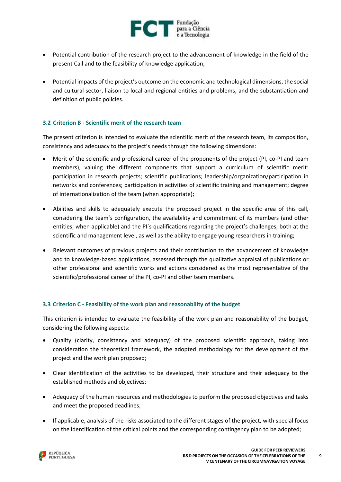

- Potential contribution of the research project to the advancement of knowledge in the field of the present Call and to the feasibility of knowledge application;
- Potential impacts of the project's outcome on the economic and technological dimensions, the social and cultural sector, liaison to local and regional entities and problems, and the substantiation and definition of public policies.

#### <span id="page-8-0"></span>**3.2 Criterion B - Scientific merit of the research team**

The present criterion is intended to evaluate the scientific merit of the research team, its composition, consistency and adequacy to the project's needs through the following dimensions:

- Merit of the scientific and professional career of the proponents of the project (PI, co-PI and team members), valuing the different components that support a curriculum of scientific merit: participation in research projects; scientific publications; leadership/organization/participation in networks and conferences; participation in activities of scientific training and management; degree of internationalization of the team (when appropriate);
- Abilities and skills to adequately execute the proposed project in the specific area of this call, considering the team's configuration, the availability and commitment of its members (and other entities, when applicable) and the PI´s qualifications regarding the project's challenges, both at the scientific and management level, as well as the ability to engage young researchers in training;
- Relevant outcomes of previous projects and their contribution to the advancement of knowledge and to knowledge-based applications, assessed through the qualitative appraisal of publications or other professional and scientific works and actions considered as the most representative of the scientific/professional career of the PI, co-PI and other team members.

#### <span id="page-8-1"></span>**3.3 Criterion C - Feasibility of the work plan and reasonability of the budget**

This criterion is intended to evaluate the feasibility of the work plan and reasonability of the budget, considering the following aspects:

- Quality (clarity, consistency and adequacy) of the proposed scientific approach, taking into consideration the theoretical framework, the adopted methodology for the development of the project and the work plan proposed;
- Clear identification of the activities to be developed, their structure and their adequacy to the established methods and objectives;
- Adequacy of the human resources and methodologies to perform the proposed objectives and tasks and meet the proposed deadlines;
- If applicable, analysis of the risks associated to the different stages of the project, with special focus on the identification of the critical points and the corresponding contingency plan to be adopted;

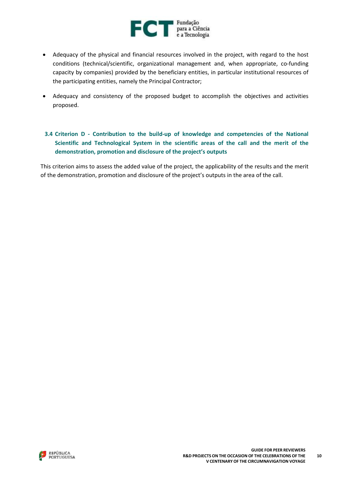

- Adequacy of the physical and financial resources involved in the project, with regard to the host conditions (technical/scientific, organizational management and, when appropriate, co-funding capacity by companies) provided by the beneficiary entities, in particular institutional resources of the participating entities, namely the Principal Contractor;
- Adequacy and consistency of the proposed budget to accomplish the objectives and activities proposed.

### <span id="page-9-0"></span>**3.4 Criterion D - Contribution to the build-up of knowledge and competencies of the National Scientific and Technological System in the scientific areas of the call and the merit of the demonstration, promotion and disclosure of the project's outputs**

This criterion aims to assess the added value of the project, the applicability of the results and the merit of the demonstration, promotion and disclosure of the project's outputs in the area of the call.

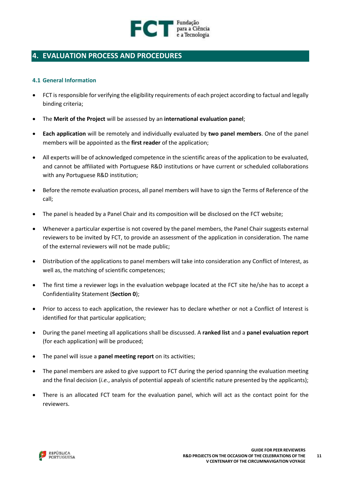

# <span id="page-10-1"></span><span id="page-10-0"></span>**4. EVALUATION PROCESS AND PROCEDURES**

#### **4.1 General Information**

- FCT is responsible for verifying the eligibility requirements of each project according to factual and legally binding criteria;
- The **Merit of the Project** will be assessed by an **international evaluation panel**;
- **Each application** will be remotely and individually evaluated by **two panel members**. One of the panel members will be appointed as the **first reader** of the application;
- All experts will be of acknowledged competence in the scientific areas of the application to be evaluated, and cannot be affiliated with Portuguese R&D institutions or have current or scheduled collaborations with any Portuguese R&D institution;
- Before the remote evaluation process, all panel members will have to sign the Terms of Reference of the call;
- The panel is headed by a Panel Chair and its composition will be disclosed on the FCT website;
- Whenever a particular expertise is not covered by the panel members, the Panel Chair suggests external reviewers to be invited by FCT, to provide an assessment of the application in consideration. The name of the external reviewers will not be made public;
- Distribution of the applications to panel members will take into consideration any Conflict of Interest, as well as, the matching of scientific competences;
- The first time a reviewer logs in the evaluation webpage located at the FCT site he/she has to accept a Confidentiality Statement (**Section [0](#page-17-1)**);
- Prior to access to each application, the reviewer has to declare whether or not a Conflict of Interest is identified for that particular application;
- During the panel meeting all applications shall be discussed. A **ranked list** and a **panel evaluation report** (for each application) will be produced;
- The panel will issue a **panel meeting report** on its activities;
- The panel members are asked to give support to FCT during the period spanning the evaluation meeting and the final decision (*i.e.*, analysis of potential appeals of scientific nature presented by the applicants);
- There is an allocated FCT team for the evaluation panel, which will act as the contact point for the reviewers.

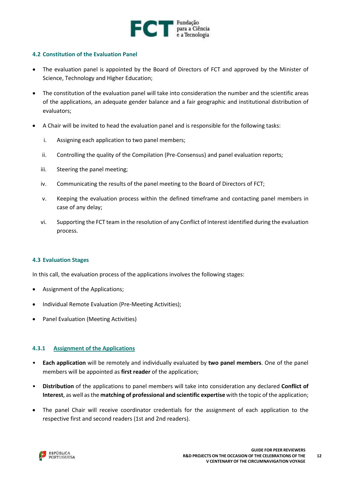

#### <span id="page-11-0"></span>**4.2 Constitution of the Evaluation Panel**

- The evaluation panel is appointed by the Board of Directors of FCT and approved by the Minister of Science, Technology and Higher Education;
- The constitution of the evaluation panel will take into consideration the number and the scientific areas of the applications, an adequate gender balance and a fair geographic and institutional distribution of evaluators;
- A Chair will be invited to head the evaluation panel and is responsible for the following tasks:
	- i. Assigning each application to two panel members;
	- ii. Controlling the quality of the Compilation (Pre-Consensus) and panel evaluation reports;
	- iii. Steering the panel meeting;
	- iv. Communicating the results of the panel meeting to the Board of Directors of FCT;
	- v. Keeping the evaluation process within the defined timeframe and contacting panel members in case of any delay;
	- vi. Supporting the FCT team in the resolution of any Conflict of Interest identified during the evaluation process.

#### <span id="page-11-1"></span>**4.3 Evaluation Stages**

In this call, the evaluation process of the applications involves the following stages:

- Assignment of the Applications;
- Individual Remote Evaluation (Pre-Meeting Activities);
- Panel Evaluation (Meeting Activities)

#### <span id="page-11-2"></span>**4.3.1 Assignment of the Applications**

- **Each application** will be remotely and individually evaluated by **two panel members**. One of the panel members will be appointed as **first reader** of the application;
- **Distribution** of the applications to panel members will take into consideration any declared **Conflict of Interest**, as well asthe **matching of professional and scientific expertise** with the topic of the application;
- The panel Chair will receive coordinator credentials for the assignment of each application to the respective first and second readers (1st and 2nd readers).

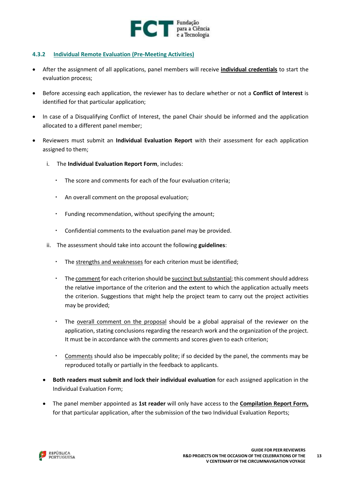

#### <span id="page-12-0"></span>**4.3.2 Individual Remote Evaluation (Pre-Meeting Activities)**

- After the assignment of all applications, panel members will receive **individual credentials** to start the evaluation process;
- Before accessing each application, the reviewer has to declare whether or not a **Conflict of Interest** is identified for that particular application;
- In case of a Disqualifying Conflict of Interest, the panel Chair should be informed and the application allocated to a different panel member;
- Reviewers must submit an **Individual Evaluation Report** with their assessment for each application assigned to them;
	- i. The **Individual Evaluation Report Form**, includes:
		- The score and comments for each of the four evaluation criteria;
		- An overall comment on the proposal evaluation;
		- Funding recommendation, without specifying the amount;
		- Confidential comments to the evaluation panel may be provided.
	- ii. The assessment should take into account the following **guidelines**:
		- The strengths and weaknesses for each criterion must be identified;
		- The comment for each criterion should be succinct but substantial; this comment should address the relative importance of the criterion and the extent to which the application actually meets the criterion. Suggestions that might help the project team to carry out the project activities may be provided;
		- The overall comment on the proposal should be a global appraisal of the reviewer on the application, stating conclusions regarding the research work and the organization of the project. It must be in accordance with the comments and scores given to each criterion;
		- Comments should also be impeccably polite; if so decided by the panel, the comments may be reproduced totally or partially in the feedback to applicants.
	- **Both readers must submit and lock their individual evaluation** for each assigned application in the Individual Evaluation Form;
	- The panel member appointed as **1st reader** will only have access to the **Compilation Report Form,** for that particular application, after the submission of the two Individual Evaluation Reports;

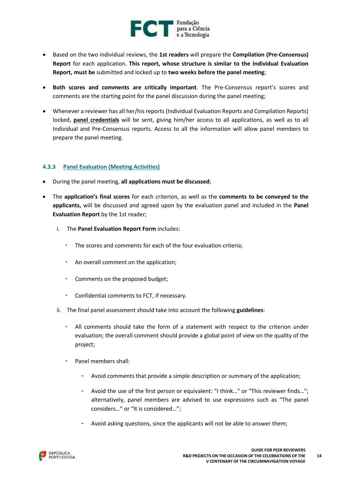

- Based on the two individual reviews, the **1st readers** will prepare the **Compilation (Pre-Consensus) Report** for each application. **This report, whose structure is similar to the Individual Evaluation Report, must be** submitted and locked up to **two weeks before the panel meeting**;
- **Both scores and comments are critically important**. The Pre-Consensus report's scores and comments are the starting point for the panel discussion during the panel meeting;
- Whenever a reviewer has all her/hisreports (Individual Evaluation Reports and Compilation Reports) locked, **panel credentials** will be sent, giving him/her access to all applications, as well as to all Individual and Pre-Consensus reports. Access to all the information will allow panel members to prepare the panel meeting.

#### <span id="page-13-0"></span>**4.3.3 Panel Evaluation (Meeting Activities)**

- During the panel meeting, **all applications must be discussed**;
- The **application's final scores** for each criterion, as well as the **comments to be conveyed to the applicants,** will be discussed and agreed upon by the evaluation panel and included in the **Panel Evaluation Report** by the 1st reader;
	- i. The **Panel Evaluation Report Form** includes:
		- The scores and comments for each of the four evaluation criteria;
		- An overall comment on the application;
		- Comments on the proposed budget;
		- Confidential comments to FCT, if necessary.
	- ii. The final panel assessment should take into account the following **guidelines**:
		- All comments should take the form of a statement with respect to the criterion under evaluation; the overall comment should provide a global point of view on the quality of the project;
		- Panel members shall:
			- Avoid comments that provide a simple description or summary of the application;
			- Avoid the use of the first person or equivalent: "I think..." or "This reviewer finds..."; alternatively, panel members are advised to use expressions such as "The panel considers…" or "It is considered…";
			- Avoid asking questions, since the applicants will not be able to answer them;

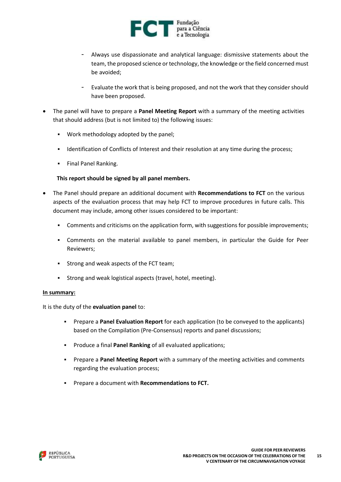

- Always use dispassionate and analytical language: dismissive statements about the team, the proposed science or technology, the knowledge or the field concerned must be avoided;
- Evaluate the work that is being proposed, and not the work that they consider should have been proposed.
- The panel will have to prepare a **Panel Meeting Report** with a summary of the meeting activities that should address (but is not limited to) the following issues:
	- Work methodology adopted by the panel;
	- Identification of Conflicts of Interest and their resolution at any time during the process;
	- **Final Panel Ranking.**

#### **This report should be signed by all panel members.**

- The Panel should prepare an additional document with **Recommendations to FCT** on the various aspects of the evaluation process that may help FCT to improve procedures in future calls. This document may include, among other issues considered to be important:
	- Comments and criticisms on the application form, with suggestions for possible improvements;
	- Comments on the material available to panel members, in particular the Guide for Peer Reviewers;
	- Strong and weak aspects of the FCT team;
	- Strong and weak logistical aspects (travel, hotel, meeting).

#### **In summary:**

It is the duty of the **evaluation panel** to:

- Prepare a **Panel Evaluation Report** for each application (to be conveyed to the applicants) based on the Compilation (Pre-Consensus) reports and panel discussions;
- Produce a final **Panel Ranking** of all evaluated applications;
- Prepare a **Panel Meeting Report** with a summary of the meeting activities and comments regarding the evaluation process;
- Prepare a document with **Recommendations to FCT.**

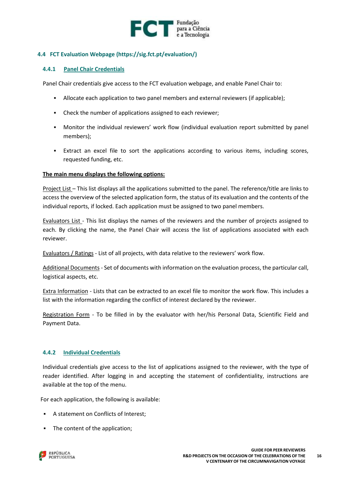

#### <span id="page-15-0"></span>**4.4 FCT Evaluation Webpage [\(https://sig.fct.pt/evaluation/\)](https://sig.fct.pt/evaluation/)**

#### <span id="page-15-1"></span>**4.4.1 Panel Chair Credentials**

Panel Chair credentials give access to the FCT evaluation webpage, and enable Panel Chair to:

- Allocate each application to two panel members and external reviewers (if applicable);
- Check the number of applications assigned to each reviewer;
- Monitor the individual reviewers' work flow (individual evaluation report submitted by panel members);
- Extract an excel file to sort the applications according to various items, including scores, requested funding, etc.

#### **The main menu displays the following options:**

Project List – This list displays all the applications submitted to the panel. The reference/title are links to access the overview of the selected application form, the status of its evaluation and the contents of the individual reports, if locked. Each application must be assigned to two panel members.

Evaluators List - This list displays the names of the reviewers and the number of projects assigned to each. By clicking the name, the Panel Chair will access the list of applications associated with each reviewer.

Evaluators / Ratings - List of all projects, with data relative to the reviewers' work flow.

Additional Documents - Set of documents with information on the evaluation process, the particular call, logistical aspects, etc.

Extra Information - Lists that can be extracted to an excel file to monitor the work flow. This includes a list with the information regarding the conflict of interest declared by the reviewer.

Registration Form - To be filled in by the evaluator with her/his Personal Data, Scientific Field and Payment Data.

#### <span id="page-15-2"></span>**4.4.2 Individual Credentials**

Individual credentials give access to the list of applications assigned to the reviewer, with the type of reader identified. After logging in and accepting the statement of confidentiality, instructions are available at the top of the menu.

For each application, the following is available:

- A statement on Conflicts of Interest;
- The content of the application;

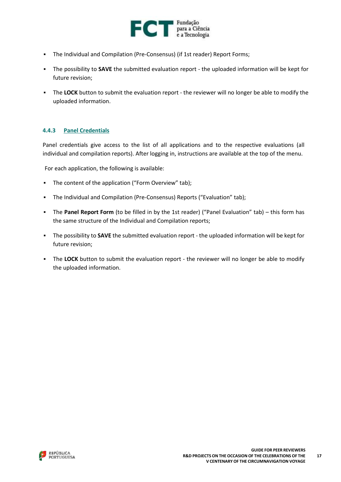

- The Individual and Compilation (Pre-Consensus) (if 1st reader) Report Forms;
- The possibility to **SAVE** the submitted evaluation report the uploaded information will be kept for future revision;
- The **LOCK** button to submit the evaluation report the reviewer will no longer be able to modify the uploaded information.

#### <span id="page-16-0"></span>**4.4.3 Panel Credentials**

Panel credentials give access to the list of all applications and to the respective evaluations (all individual and compilation reports). After logging in, instructions are available at the top of the menu.

For each application, the following is available:

- The content of the application ("Form Overview" tab);
- The Individual and Compilation (Pre-Consensus) Reports ("Evaluation" tab);
- The **Panel Report Form** (to be filled in by the 1st reader) ("Panel Evaluation" tab) this form has the same structure of the Individual and Compilation reports;
- The possibility to **SAVE** the submitted evaluation report the uploaded information will be kept for future revision;
- **•** The LOCK button to submit the evaluation report the reviewer will no longer be able to modify the uploaded information.

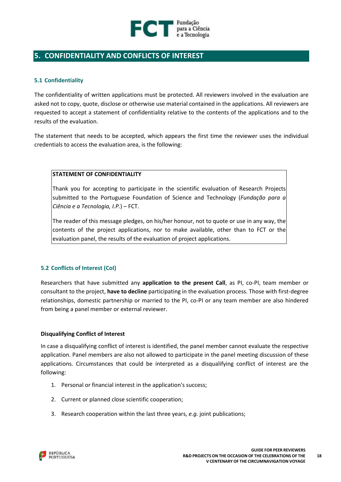

# <span id="page-17-1"></span><span id="page-17-0"></span>**5. CONFIDENTIALITY AND CONFLICTS OF INTEREST**

#### **5.1 Confidentiality**

The confidentiality of written applications must be protected. All reviewers involved in the evaluation are asked not to copy, quote, disclose or otherwise use material contained in the applications. All reviewers are requested to accept a statement of confidentiality relative to the contents of the applications and to the results of the evaluation.

The statement that needs to be accepted, which appears the first time the reviewer uses the individual credentials to access the evaluation area, is the following:

#### **STATEMENT OF CONFIDENTIALITY**

Thank you for accepting to participate in the scientific evaluation of Research Projects submitted to the Portuguese Foundation of Science and Technology (*Fundação para a Ciência e a Tecnologia, I.P.*) – FCT.

The reader of this message pledges, on his/her honour, not to quote or use in any way, the contents of the project applications, nor to make available, other than to FCT or the evaluation panel, the results of the evaluation of project applications.

#### <span id="page-17-2"></span>**5.2 Conflicts of Interest (CoI)**

Researchers that have submitted any **application to the present Call**, as PI, co-PI, team member or consultant to the project, **have to decline** participating in the evaluation process. Those with first-degree relationships, domestic partnership or married to the PI, co-PI or any team member are also hindered from being a panel member or external reviewer.

#### **Disqualifying Conflict of Interest**

In case a disqualifying conflict of interest is identified, the panel member cannot evaluate the respective application. Panel members are also not allowed to participate in the panel meeting discussion of these applications. Circumstances that could be interpreted as a disqualifying conflict of interest are the following:

- 1. Personal or financial interest in the application's success;
- 2. Current or planned close scientific cooperation;
- 3. Research cooperation within the last three years, *e.g.* joint publications;

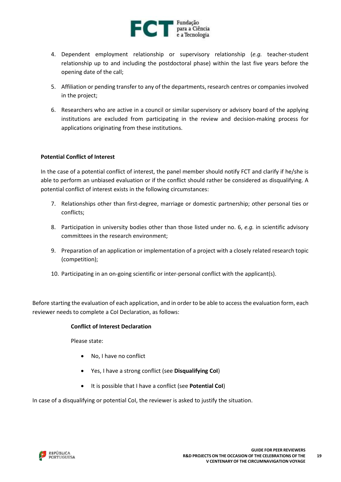

- 4. Dependent employment relationship or supervisory relationship (*e.g.* teacher-student relationship up to and including the postdoctoral phase) within the last five years before the opening date of the call;
- 5. Affiliation or pending transfer to any of the departments, research centres or companies involved in the project;
- 6. Researchers who are active in a council or similar supervisory or advisory board of the applying institutions are excluded from participating in the review and decision-making process for applications originating from these institutions.

#### **Potential Conflict of Interest**

In the case of a potential conflict of interest, the panel member should notify FCT and clarify if he/she is able to perform an unbiased evaluation or if the conflict should rather be considered as disqualifying. A potential conflict of interest exists in the following circumstances:

- 7. Relationships other than first-degree, marriage or domestic partnership; other personal ties or conflicts;
- 8. Participation in university bodies other than those listed under no. 6, *e.g.* in scientific advisory committees in the research environment;
- 9. Preparation of an application or implementation of a project with a closely related research topic (competition);
- 10. Participating in an on-going scientific or inter-personal conflict with the applicant(s).

Before starting the evaluation of each application, and in order to be able to access the evaluation form, each reviewer needs to complete a CoI Declaration, as follows:

#### **Conflict of Interest Declaration**

Please state:

- No, I have no conflict
- Yes, I have a strong conflict (see **Disqualifying CoI**)
- It is possible that I have a conflict (see **Potential CoI**)

In case of a disqualifying or potential CoI, the reviewer is asked to justify the situation.

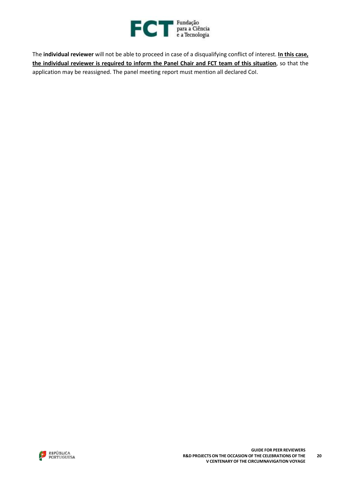

The **individual reviewer** will not be able to proceed in case of a disqualifying conflict of interest. **In this case, the individual reviewer is required to inform the Panel Chair and FCT team of this situation**, so that the application may be reassigned. The panel meeting report must mention all declared CoI.

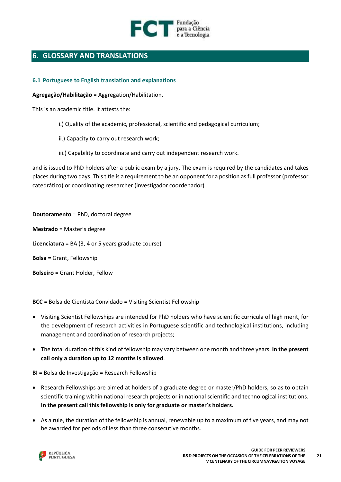

# <span id="page-20-0"></span>**6. GLOSSARY AND TRANSLATIONS**

#### <span id="page-20-1"></span>**6.1 Portuguese to English translation and explanations**

**Agregação/Habilitação** = Aggregation/Habilitation.

This is an academic title. It attests the:

- i.) Quality of the academic, professional, scientific and pedagogical curriculum;
- ii.) Capacity to carry out research work;
- iii.) Capability to coordinate and carry out independent research work.

and is issued to PhD holders after a public exam by a jury. The exam is required by the candidates and takes places during two days. Thistitle is a requirement to be an opponent for a position asfull professor (professor catedrático) or coordinating researcher (investigador coordenador).

**Doutoramento** = PhD, doctoral degree **Mestrado** = Master's degree **Licenciatura** = BA (3, 4 or 5 years graduate course) **Bolsa** = Grant, Fellowship **Bolseiro** = Grant Holder, Fellow

**BCC** = Bolsa de Cientista Convidado = Visiting Scientist Fellowship

- Visiting Scientist Fellowships are intended for PhD holders who have scientific curricula of high merit, for the development of research activities in Portuguese scientific and technological institutions, including management and coordination of research projects;
- The total duration of this kind of fellowship may vary between one month and three years. **In the present call only a duration up to 12 months is allowed**.

**BI** = Bolsa de Investigação = Research Fellowship

- Research Fellowships are aimed at holders of a graduate degree or master/PhD holders, so as to obtain scientific training within national research projects or in national scientific and technological institutions. **In the present call this fellowship is only for graduate or master's holders.**
- As a rule, the duration of the fellowship is annual, renewable up to a maximum of five years, and may not be awarded for periods of less than three consecutive months.